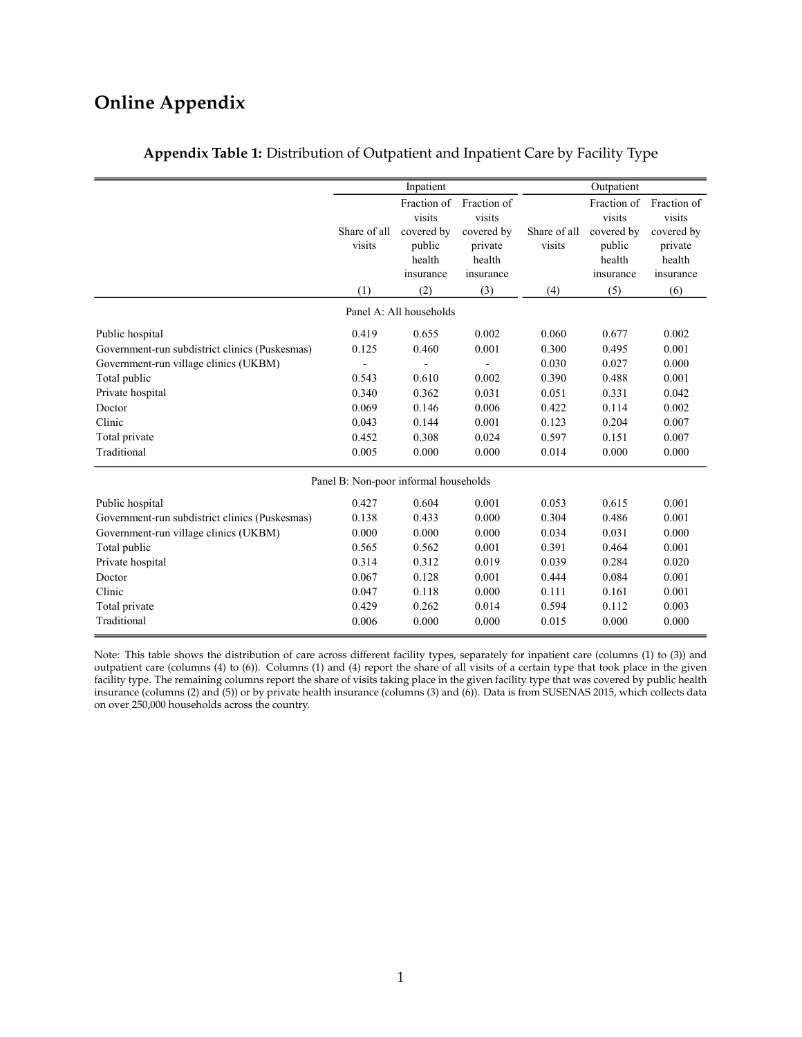# **Online Appendix**

|                                                                                                                                                                                                    |                                                                               | Inpatient                                                                     |                                                                               |                                                                               | Outpatient                                                                    |                                                                               |
|----------------------------------------------------------------------------------------------------------------------------------------------------------------------------------------------------|-------------------------------------------------------------------------------|-------------------------------------------------------------------------------|-------------------------------------------------------------------------------|-------------------------------------------------------------------------------|-------------------------------------------------------------------------------|-------------------------------------------------------------------------------|
|                                                                                                                                                                                                    | Share of all<br>visits                                                        | Fraction of<br>visits<br>covered by<br>public<br>health<br>insurance          | Fraction of<br>visits<br>covered by<br>private<br>health<br>insurance         | Share of all<br>visits                                                        | Fraction of<br>visits<br>covered by<br>public<br>health<br>insurance          | Fraction of<br>visits<br>covered by<br>private<br>health<br>insurance         |
|                                                                                                                                                                                                    | (1)                                                                           | (2)                                                                           | (3)                                                                           | (4)                                                                           | (5)                                                                           | (6)                                                                           |
|                                                                                                                                                                                                    |                                                                               | Panel A: All households                                                       |                                                                               |                                                                               |                                                                               |                                                                               |
| Public hospital<br>Government-run subdistrict clinics (Puskesmas)<br>Government-run village clinics (UKBM)<br>Total public<br>Private hospital<br>Doctor                                           | 0.419<br>0.125<br>0.543<br>0.340<br>0.069                                     | 0.655<br>0.460<br>0.610<br>0.362<br>0.146                                     | 0.002<br>0.001<br>0.002<br>0.031<br>0.006                                     | 0.060<br>0.300<br>0.030<br>0.390<br>0.051<br>0.422                            | 0.677<br>0.495<br>0.027<br>0.488<br>0.331<br>0.114                            | 0.002<br>0.001<br>0.000<br>0.001<br>0.042<br>0.002                            |
| Clinic                                                                                                                                                                                             | 0.043                                                                         | 0.144                                                                         | 0.001                                                                         | 0.123                                                                         | 0.204                                                                         | 0.007                                                                         |
| Total private<br>Traditional                                                                                                                                                                       | 0.452<br>0.005                                                                | 0.308<br>0.000                                                                | 0.024<br>0.000                                                                | 0.597<br>0.014                                                                | 0.151<br>0.000                                                                | 0.007<br>0.000                                                                |
|                                                                                                                                                                                                    | Panel B: Non-poor informal households                                         |                                                                               |                                                                               |                                                                               |                                                                               |                                                                               |
| Public hospital<br>Government-run subdistrict clinics (Puskesmas)<br>Government-run village clinics (UKBM)<br>Total public<br>Private hospital<br>Doctor<br>Clinic<br>Total private<br>Traditional | 0.427<br>0.138<br>0.000<br>0.565<br>0.314<br>0.067<br>0.047<br>0.429<br>0.006 | 0.604<br>0.433<br>0.000<br>0.562<br>0.312<br>0.128<br>0.118<br>0.262<br>0.000 | 0.001<br>0.000<br>0.000<br>0.001<br>0.019<br>0.001<br>0.000<br>0.014<br>0.000 | 0.053<br>0.304<br>0.034<br>0.391<br>0.039<br>0.444<br>0.111<br>0.594<br>0.015 | 0.615<br>0.486<br>0.031<br>0.464<br>0.284<br>0.084<br>0.161<br>0.112<br>0.000 | 0.001<br>0.001<br>0.000<br>0.001<br>0.020<br>0.001<br>0.001<br>0.003<br>0.000 |

### **Appendix Table 1:** Distribution of Outpatient and Inpatient Care by Facility Type

Note: This table shows the distribution of care across different facility types, separately for inpatient care (columns (1) to (3)) and outpatient care (columns (4) to (6)). Columns (1) and (4) report the share of all visits of a certain type that took place in the given facility type. The remaining columns report the share of visits taking place in the given facility type that was covered by public health insurance (columns (2) and (5)) or by private health insurance (columns (3) and (6)). Data is from SUSENAS 2015, which collects data on over 250,000 households across the country.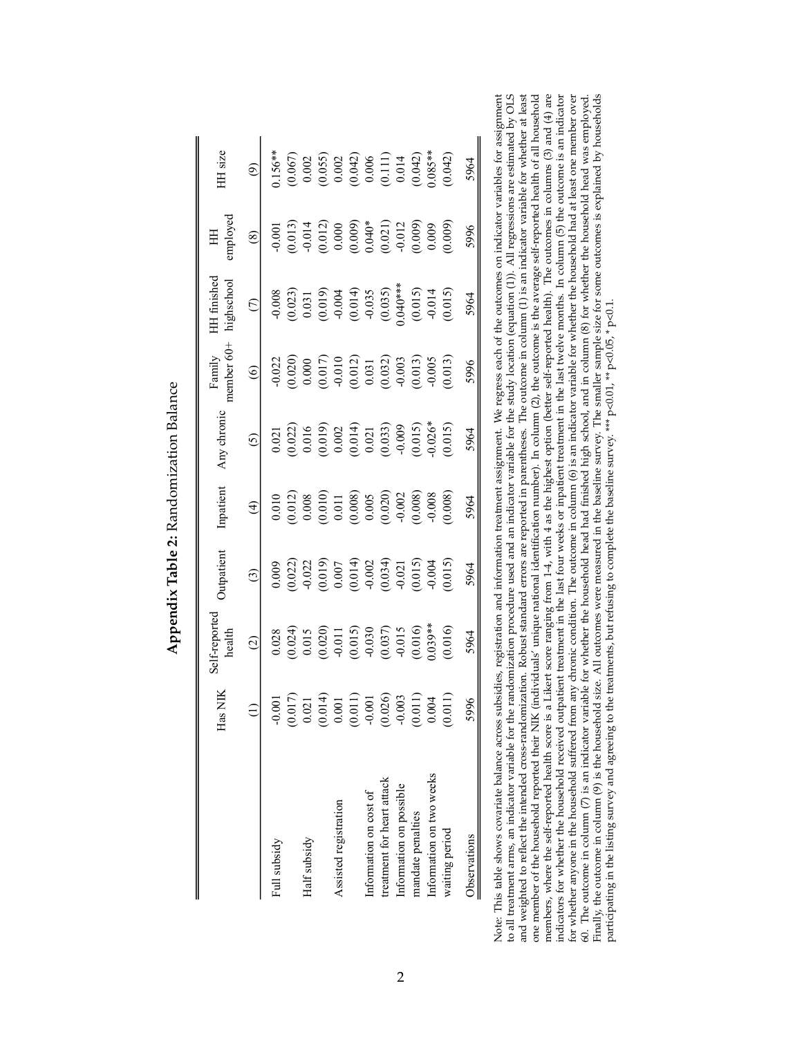|                            | Has NIK                                                    | elf-reported<br>health                                                                                                                                                                                                                                                                              | utpatient                                                                                                                                                                                                                                                                                                              | Inpatient                                                                                                                                                                                 | Any chronic                                                                                                                                                                                                                                                                                                            | nember 60+<br>Family                                                                                                                                                                                                                                                                                                  | HH finished<br>ighschool                                                                                    | imployee                                                                                                                                                                                                                                                                                                                | HH size                                                                                                                                                                         |
|----------------------------|------------------------------------------------------------|-----------------------------------------------------------------------------------------------------------------------------------------------------------------------------------------------------------------------------------------------------------------------------------------------------|------------------------------------------------------------------------------------------------------------------------------------------------------------------------------------------------------------------------------------------------------------------------------------------------------------------------|-------------------------------------------------------------------------------------------------------------------------------------------------------------------------------------------|------------------------------------------------------------------------------------------------------------------------------------------------------------------------------------------------------------------------------------------------------------------------------------------------------------------------|-----------------------------------------------------------------------------------------------------------------------------------------------------------------------------------------------------------------------------------------------------------------------------------------------------------------------|-------------------------------------------------------------------------------------------------------------|-------------------------------------------------------------------------------------------------------------------------------------------------------------------------------------------------------------------------------------------------------------------------------------------------------------------------|---------------------------------------------------------------------------------------------------------------------------------------------------------------------------------|
|                            |                                                            | $\widehat{c}$                                                                                                                                                                                                                                                                                       | $\odot$                                                                                                                                                                                                                                                                                                                | $\widehat{f}$                                                                                                                                                                             | $\odot$                                                                                                                                                                                                                                                                                                                | $\circledcirc$                                                                                                                                                                                                                                                                                                        | $\odot$                                                                                                     | $\circledS$                                                                                                                                                                                                                                                                                                             | $\widehat{e}$                                                                                                                                                                   |
| Full subsidy               | $-0.001$                                                   |                                                                                                                                                                                                                                                                                                     | 0.009                                                                                                                                                                                                                                                                                                                  | 0.010                                                                                                                                                                                     | 0.021                                                                                                                                                                                                                                                                                                                  | $-0.022$                                                                                                                                                                                                                                                                                                              |                                                                                                             | $-0.001$                                                                                                                                                                                                                                                                                                                | $0.156**$                                                                                                                                                                       |
|                            |                                                            | $\begin{array}{c} 0.028 \\ 0.024) \\ 0.015 \\ 0.015 \\ 0.011 \\ 0.015 \\ 0.011 \\ 0.015 \\ 0.030 \\ 0.037 \\ 0.015 \\ 0.003 \\ 0.004 \\ 0.016 \\ 0.000 \\ 0.000 \\ 0.000 \\ 0.000 \\ 0.000 \\ 0.000 \\ 0.000 \\ 0.000 \\ 0.000 \\ 0.000 \\ 0.000 \\ 0.000 \\ 0.000 \\ 0.000 \\ 0.000 \\ 0.000 \\ 0$ |                                                                                                                                                                                                                                                                                                                        | $\begin{array}{l} (0.012) \\ 0.008 \\ 0.011 \\ 0.011 \\ 0.008 \\ 0.008 \\ 0.005 \\ 0.002 \\ 0.008 \\ 0.008 \\ 0.008 \\ 0.008 \\ 0.008 \\ 0.008 \\ 0.008 \\ 0.008 \\ 0.008 \\ \end{array}$ | $\begin{array}{c} (0.022) \\ (0.016) \\ (0.019) \\ (0.002) \\ (0.014) \\ (0.014) \\ (0.033) \\ (0.015) \\ (0.016) \\ (0.015) \\ (0.015) \\ (0.016) \\ (0.019) \\ (0.019) \\ (0.019) \\ (0.019) \\ (0.019) \\ (0.019) \\ (0.019) \\ (0.019) \\ (0.019) \\ (0.019) \\ (0.019) \\ (0.019) \\ (0.019) \\ (0.019) \\ (0.01$ | $\begin{array}{c} (0.020) \\ 0.000 \\ (0.017) \\ (0.012) \\ (0.012) \\ (0.031) \\ (0.032) \\ (0.033) \\ (0.013) \\ (0.013) \\ (0.013) \\ (0.013) \\ (0.013) \\ (0.013) \\ (0.013) \\ (0.013) \\ (0.013) \\ (0.013) \\ (0.013) \\ (0.013) \\ (0.013) \\ (0.013) \\ (0.013) \\ (0.013) \\ (0.013) \\ (0.013) \\ (0.013$ | $-0.008$<br>$(0.023)$<br>$0.031$<br>$(0.019)$<br>$-0.004$<br>$-0.035$<br>$-0.035$<br>$(0.035)$<br>$(0.035)$ |                                                                                                                                                                                                                                                                                                                         |                                                                                                                                                                                 |
| Half subsidy               |                                                            |                                                                                                                                                                                                                                                                                                     |                                                                                                                                                                                                                                                                                                                        |                                                                                                                                                                                           |                                                                                                                                                                                                                                                                                                                        |                                                                                                                                                                                                                                                                                                                       |                                                                                                             |                                                                                                                                                                                                                                                                                                                         |                                                                                                                                                                                 |
|                            | $\begin{array}{c} (0.017) \\ 0.021 \\ (0.014) \end{array}$ |                                                                                                                                                                                                                                                                                                     | $\begin{array}{l} (0.022) \\ (0.012) \\ (0.019) \\ (0.0107) \\ (0.0107) \\ (0.014) \\ (0.014) \\ (0.034) \\ (0.015) \\ (0.015) \\ (0.016) \\ (0.017) \\ (0.019) \\ (0.019) \\ (0.019) \\ (0.019) \\ (0.019) \\ (0.019) \\ (0.019) \\ (0.019) \\ (0.019) \\ (0.019) \\ (0.019) \\ (0.019) \\ (0.019) \\ (0.019) \\ (0.$ |                                                                                                                                                                                           |                                                                                                                                                                                                                                                                                                                        |                                                                                                                                                                                                                                                                                                                       |                                                                                                             | $\begin{array}{l} (0.013) \\ -0.014 \\ (0.012) \\ 0.000 \\ (0.0009) \\ (0.004)^{*} \\ (0.011) \\ (0.009) \\ (0.009) \\ (0.009) \\ (0.009) \\ (0.009) \\ (0.009) \\ (0.009) \\ (0.009) \\ (0.009) \\ (0.009) \\ (0.009) \\ (0.009) \\ (0.009) \\ (0.009) \\ (0.009) \\ (0.009) \\ (0.009) \\ (0.009) \\ (0.009) \\ (0.0$ | $\begin{array}{l} (0.067) \\ 0.002 \\ (0.055) \\ (0.032) \\ (0.042) \\ (0.041) \\ (0.111) \\ (0.014) \\ (0.042) \\ (0.042) \\ (0.043) \\ (0.042) \\ (0.085^{**} \\ \end{array}$ |
| Assisted registration      | 0.001                                                      |                                                                                                                                                                                                                                                                                                     |                                                                                                                                                                                                                                                                                                                        |                                                                                                                                                                                           |                                                                                                                                                                                                                                                                                                                        |                                                                                                                                                                                                                                                                                                                       |                                                                                                             |                                                                                                                                                                                                                                                                                                                         |                                                                                                                                                                                 |
|                            | (0.011)                                                    |                                                                                                                                                                                                                                                                                                     |                                                                                                                                                                                                                                                                                                                        |                                                                                                                                                                                           |                                                                                                                                                                                                                                                                                                                        |                                                                                                                                                                                                                                                                                                                       |                                                                                                             |                                                                                                                                                                                                                                                                                                                         |                                                                                                                                                                                 |
| Information on cost of     |                                                            |                                                                                                                                                                                                                                                                                                     |                                                                                                                                                                                                                                                                                                                        |                                                                                                                                                                                           |                                                                                                                                                                                                                                                                                                                        |                                                                                                                                                                                                                                                                                                                       |                                                                                                             |                                                                                                                                                                                                                                                                                                                         |                                                                                                                                                                                 |
| treatment for heart attack | $-0.001$<br>$(0.026)$<br>$-0.003$                          |                                                                                                                                                                                                                                                                                                     |                                                                                                                                                                                                                                                                                                                        |                                                                                                                                                                                           |                                                                                                                                                                                                                                                                                                                        |                                                                                                                                                                                                                                                                                                                       |                                                                                                             |                                                                                                                                                                                                                                                                                                                         |                                                                                                                                                                                 |
| Information on possible    |                                                            |                                                                                                                                                                                                                                                                                                     |                                                                                                                                                                                                                                                                                                                        |                                                                                                                                                                                           |                                                                                                                                                                                                                                                                                                                        |                                                                                                                                                                                                                                                                                                                       |                                                                                                             |                                                                                                                                                                                                                                                                                                                         |                                                                                                                                                                                 |
| mandate penalties          | (0.011)                                                    |                                                                                                                                                                                                                                                                                                     |                                                                                                                                                                                                                                                                                                                        |                                                                                                                                                                                           |                                                                                                                                                                                                                                                                                                                        |                                                                                                                                                                                                                                                                                                                       |                                                                                                             |                                                                                                                                                                                                                                                                                                                         |                                                                                                                                                                                 |
| Information on two weeks   | 0.004                                                      |                                                                                                                                                                                                                                                                                                     |                                                                                                                                                                                                                                                                                                                        |                                                                                                                                                                                           |                                                                                                                                                                                                                                                                                                                        |                                                                                                                                                                                                                                                                                                                       | $(0.015)$<br>$-0.014$                                                                                       |                                                                                                                                                                                                                                                                                                                         |                                                                                                                                                                                 |
| waiting period             | (0.0)                                                      | (0.016)                                                                                                                                                                                                                                                                                             | (0.015)                                                                                                                                                                                                                                                                                                                | 0.008                                                                                                                                                                                     | (0.015)                                                                                                                                                                                                                                                                                                                | (0.013)                                                                                                                                                                                                                                                                                                               | (0.015)                                                                                                     | (0.009)                                                                                                                                                                                                                                                                                                                 | (0.042)                                                                                                                                                                         |
| Observations               | 5996                                                       | 5964                                                                                                                                                                                                                                                                                                | 5964                                                                                                                                                                                                                                                                                                                   | 5964                                                                                                                                                                                      | 5964                                                                                                                                                                                                                                                                                                                   | 5996                                                                                                                                                                                                                                                                                                                  | 5964                                                                                                        | 5996                                                                                                                                                                                                                                                                                                                    | 5964                                                                                                                                                                            |

| outelex                                                                                 |
|-----------------------------------------------------------------------------------------|
|                                                                                         |
|                                                                                         |
| ֧֧֧֧֧֧֧֧֧֧֧֧֧֧֧֧֧֧֧֧֧֧֧֧֧֛֪֪֪֧֛֪֪֧֧֧֧֧֧֧֧֧֧֧֛֚֚֚֚֚֚֚֚֚֝֓֝֓֝֓֝֓֝֬֓֝֬֝֬֟֓֝֬֟֓֝֬֜֟֓֝֬֜֜֜֜֜ |
| monterinum put on                                                                       |
|                                                                                         |
|                                                                                         |
|                                                                                         |
| ŗ                                                                                       |
|                                                                                         |
|                                                                                         |
| -- שוטובי<br>ے ادا ہ                                                                    |
|                                                                                         |
| j                                                                                       |
| ことしょう しょう                                                                               |
|                                                                                         |
|                                                                                         |
|                                                                                         |
|                                                                                         |
|                                                                                         |

ې

Note: This table shows covariate balance across subsidies, registration and information teatment assignment We regress each of the outcomes on indicator variables for assignment hould weighted to reads, the interded ratio Note: This table shows covariate balance across subsidies, registration and information treatment assignment. We regress each of the outcomes on indicator variables for assignment to all treatment arms, an indicator variable for the randomization procedure used and an indicator variable for the study location (equation (1)). All regressions are estimated by OLS and weighted to reflect the intended cross-randomization. Robust standard errors are reported in parentheses. The outcome in column (1) is an indicator variable for whether at least one member of the household reported their NIK (individuals' unique national identification number). In column (2), the outcome is the average self-reported health of all household members, where the self-reported health score is a Likert score ranging from 1-4, with 4 as the highest option (better self-reported health). The outcomes in columns (3) and (4) are indicators for whether the household received outpatient treatment in the last four weeks or inpatient treatment in the last twelve months. In column (5) the outcome is an indicator for whether anyone in the household suffered from any chronic condition. The outcome in column (6) is an indicator variable for whether the household had at least one member over 60. The outcome in column (7) is an indicator variable for whether the household head had finished high school, and in column (8) for whether the household head was employed. Finally, the outcome in column (9) is the household size. All outcomes were measured in the baseline survey. The smaller sample size for some outcomes is explained by households participating in the listing survey and agreeing to the treatments, but refusing to complete the baseline survey. \*\*\* p<0.01, \*\* p<0.05, \* p<0.1.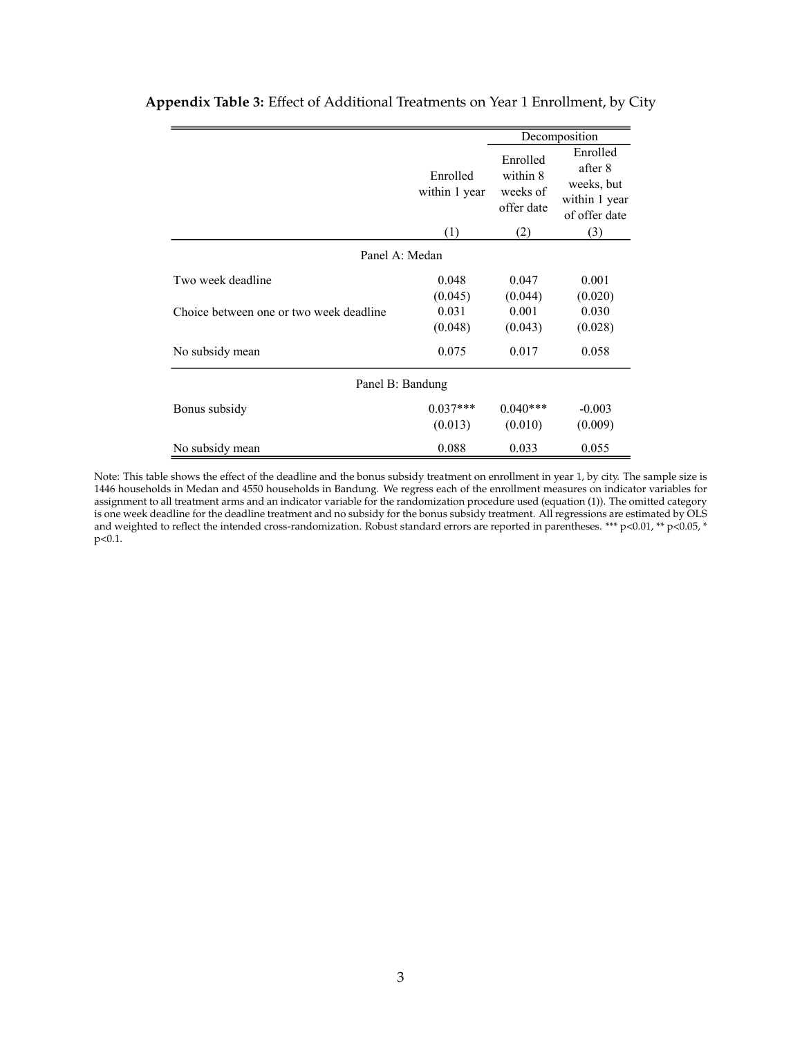|                                         |                           |                                                | Decomposition                                                       |
|-----------------------------------------|---------------------------|------------------------------------------------|---------------------------------------------------------------------|
|                                         | Enrolled<br>within 1 year | Enrolled<br>within 8<br>weeks of<br>offer date | Enrolled<br>after 8<br>weeks, but<br>within 1 year<br>of offer date |
|                                         | (1)                       | (2)                                            | (3)                                                                 |
| Panel A: Medan                          |                           |                                                |                                                                     |
| Two week deadline                       | 0.048                     | 0.047                                          | 0.001                                                               |
|                                         | (0.045)                   | (0.044)                                        | (0.020)                                                             |
| Choice between one or two week deadline | 0.031                     | 0.001                                          | 0.030                                                               |
|                                         | (0.048)                   | (0.043)                                        | (0.028)                                                             |
| No subsidy mean                         | 0.075                     | 0.017                                          | 0.058                                                               |
| Panel B: Bandung                        |                           |                                                |                                                                     |
| Bonus subsidy                           | $0.037***$                | $0.040***$                                     | $-0.003$                                                            |
|                                         | (0.013)                   | (0.010)                                        | (0.009)                                                             |
| No subsidy mean                         | 0.088                     | 0.033                                          | 0.055                                                               |

## **Appendix Table 3:** Effect of Additional Treatments on Year 1 Enrollment, by City

Note: This table shows the effect of the deadline and the bonus subsidy treatment on enrollment in year 1, by city. The sample size is 1446 households in Medan and 4550 households in Bandung. We regress each of the enrollment measures on indicator variables for assignment to all treatment arms and an indicator variable for the randomization procedure used (equation (1)). The omitted category is one week deadline for the deadline treatment and no subsidy for the bonus subsidy treatment. All regressions are estimated by OLS and weighted to reflect the intended cross-randomization. Robust standard errors are reported in parentheses. \*\*\* p<0.01, \*\* p<0.05, \* p<0.1.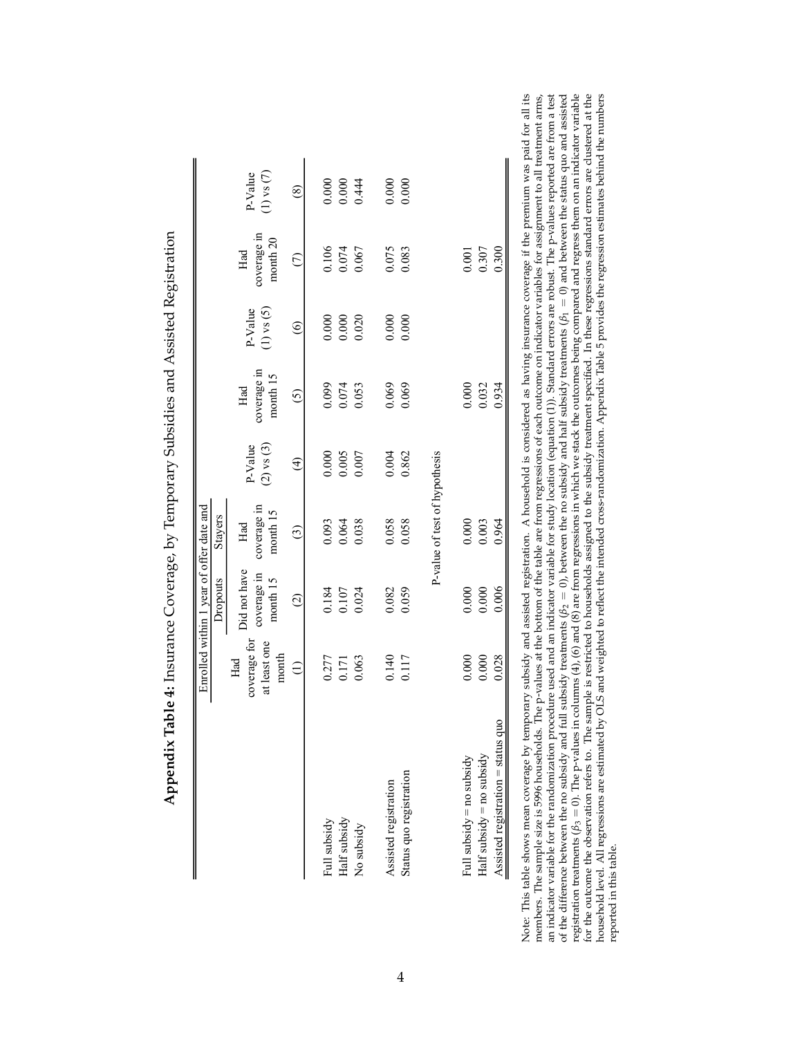|                                    |                                              | Enrolled within 1 year of offer date and |                                |                           |                                |                           |                                |                           |
|------------------------------------|----------------------------------------------|------------------------------------------|--------------------------------|---------------------------|--------------------------------|---------------------------|--------------------------------|---------------------------|
|                                    |                                              | Dropouts                                 | Stayers                        |                           |                                |                           |                                |                           |
|                                    | coverage for<br>at least one<br>month<br>Had | Did not have<br>coverage in<br>month 15  | coverage in<br>month 15<br>Had | $(2)$ vs $(3)$<br>P-Value | coverage in<br>month 15<br>Had | $(1)$ vs $(5)$<br>P-Value | coverage in<br>month 20<br>Had | $(1)$ vs $(7)$<br>P-Value |
|                                    | $\widehat{\Xi}$                              | $\odot$                                  | $\widehat{c}$                  | $\widehat{f}$             | $\overline{c}$                 | $\odot$                   | $\widehat{C}$                  | $\circledast$             |
| Full subsidy                       | 0.277                                        | 0.184                                    | 0.093                          | 0.000                     | 0.099                          | 0.000                     | 0.106                          | 0.000                     |
| Half subsidy                       | 0.171                                        | 0.107                                    | 0.064                          | 0.005                     | 0.074                          | 0.000                     | 0.074                          | 0.000                     |
| No subsidy                         | 0.063                                        | 0.024                                    | 0.038                          | 0.007                     | 0.053                          | 0.020                     | 0.067                          | 0.444                     |
| Assisted registration              | 0.140                                        | 0.082                                    | 0.058                          | 0.004                     | 0.069                          | 0.000                     | 0.075                          | 0.000                     |
| Status quo registration            | 0.117                                        | 0.059                                    | 0.058                          | 0.862                     | 0.069                          | 0.000                     | 0.083                          | 0.000                     |
|                                    |                                              |                                          | P-value of test of hypothesis  |                           |                                |                           |                                |                           |
| Full subsidy = no subsidy          | 0.000                                        | 0.000                                    | 0.000                          |                           | 0.000                          |                           | 0.001                          |                           |
| Half subsidy = no subsidy          | 0.000                                        | 0.000                                    | 0.003                          |                           | 0.032                          |                           | 0.307                          |                           |
| Assisted registration = status quo | 0.028                                        | 0.006                                    | 0.964                          |                           | 0.934                          |                           | 0.300                          |                           |

**Appendix Table 4:** Insurance Coverage, by Temporary Subsidies and Assisted Registration  $\frac{1}{2}$ <u>े</u> l,  $\ddot{\phantom{0}}$  $\frac{1}{1}$ .<br>: آب  $\frac{1}{2}$ Ę ł.  $\mathcal{C}$  $\blacksquare$  $\ddot{\phantom{0}}$  $\frac{1}{2}$ Ę  $\frac{1}{2}$  $\ddot{\phantom{0}}$ 

an indicator variable for the randomization procedure used and an indicator variable for study location (equation (1)). Standard erros are robust. The p-values reported are from a test of the difference between the no sub all its : arms, Note: This table shows mean coverage by temporary subsidy and assisted registration. A household is considered as having insurance coverage if the premium was paid for all its members. The sample size is 5996 households. household level. All regressions are estimated by OLS and weighted to reflect the intended cross-randomization. Appendix Table 5 provides the regression estimates behind the numbers reported in this table. reported in this table. Note: This members.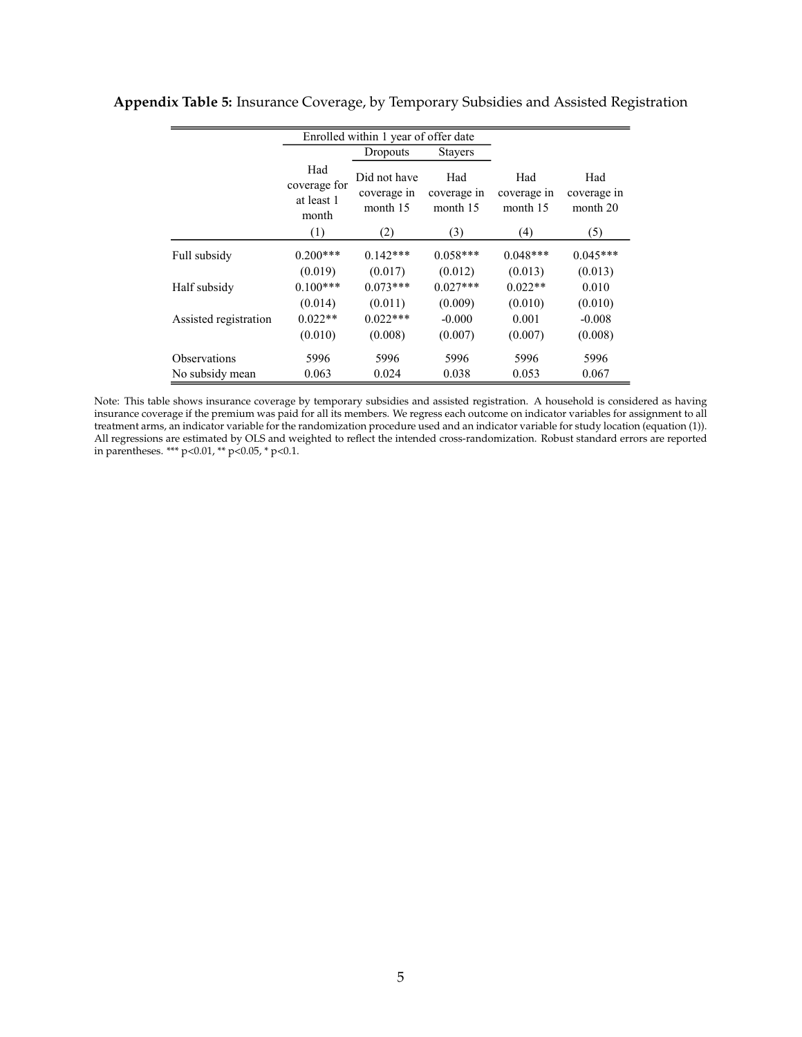|                       |                                            | Enrolled within 1 year of offer date    |                                |                                |                                |
|-----------------------|--------------------------------------------|-----------------------------------------|--------------------------------|--------------------------------|--------------------------------|
|                       |                                            | Dropouts                                | <b>Stayers</b>                 |                                |                                |
|                       | Had<br>coverage for<br>at least 1<br>month | Did not have<br>coverage in<br>month 15 | Had<br>coverage in<br>month 15 | Had<br>coverage in<br>month 15 | Had<br>coverage in<br>month 20 |
|                       | (1)                                        | (2)                                     | (3)                            | (4)                            | (5)                            |
| Full subsidy          | $0.200***$                                 | $0.142***$                              | $0.058***$                     | $0.048***$                     | $0.045***$                     |
|                       | (0.019)                                    | (0.017)                                 | (0.012)                        | (0.013)                        | (0.013)                        |
| Half subsidy          | $0.100***$                                 | $0.073***$                              | $0.027***$                     | $0.022**$                      | 0.010                          |
|                       | (0.014)                                    | (0.011)                                 | (0.009)                        | (0.010)                        | (0.010)                        |
| Assisted registration | $0.022**$                                  | $0.022***$                              | $-0.000$                       | 0.001                          | $-0.008$                       |
|                       | (0.010)                                    | (0.008)                                 | (0.007)                        | (0.007)                        | (0.008)                        |
| <b>Observations</b>   | 5996                                       | 5996                                    | 5996                           | 5996                           | 5996                           |
| No subsidy mean       | 0.063                                      | 0.024                                   | 0.038                          | 0.053                          | 0.067                          |

### **Appendix Table 5:** Insurance Coverage, by Temporary Subsidies and Assisted Registration

Note: This table shows insurance coverage by temporary subsidies and assisted registration. A household is considered as having insurance coverage if the premium was paid for all its members. We regress each outcome on indicator variables for assignment to all treatment arms, an indicator variable for the randomization procedure used and an indicator variable for study location (equation (1)). All regressions are estimated by OLS and weighted to reflect the intended cross-randomization. Robust standard errors are reported in parentheses. \*\*\* p<0.01, \*\* p<0.05, \* p<0.1.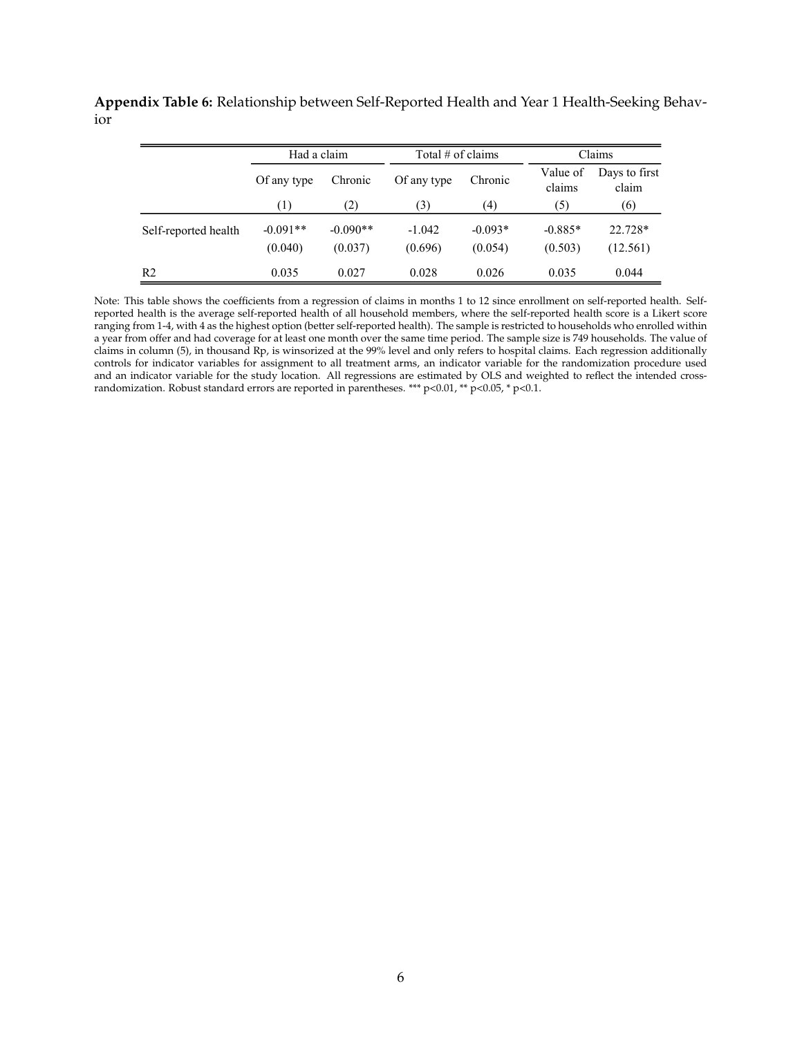**Appendix Table 6:** Relationship between Self-Reported Health and Year 1 Health-Seeking Behavior

|                      | Had a claim           |                       | Total $#$ of claims |                      |                      | Claims                 |
|----------------------|-----------------------|-----------------------|---------------------|----------------------|----------------------|------------------------|
|                      | Of any type           | Chronic               | Of any type         | Chronic              | Value of<br>claims   | Days to first<br>claim |
|                      | (1)                   | (2)                   | (3)                 | (4)                  | (5)                  | (6)                    |
| Self-reported health | $-0.091**$<br>(0.040) | $-0.090**$<br>(0.037) | $-1.042$<br>(0.696) | $-0.093*$<br>(0.054) | $-0.885*$<br>(0.503) | 22.728*<br>(12.561)    |
| R <sub>2</sub>       | 0.035                 | 0.027                 | 0.028               | 0.026                | 0.035                | 0.044                  |

Note: This table shows the coefficients from a regression of claims in months 1 to 12 since enrollment on self-reported health. Selfreported health is the average self-reported health of all household members, where the self-reported health score is a Likert score ranging from 1-4, with 4 as the highest option (better self-reported health). The sample is restricted to households who enrolled within a year from offer and had coverage for at least one month over the same time period. The sample size is 749 households. The value of claims in column (5), in thousand Rp, is winsorized at the 99% level and only refers to hospital claims. Each regression additionally controls for indicator variables for assignment to all treatment arms, an indicator variable for the randomization procedure used and an indicator variable for the study location. All regressions are estimated by OLS and weighted to reflect the intended crossrandomization. Robust standard errors are reported in parentheses. \*\*\* p<0.01, \*\* p<0.05, \* p<0.1.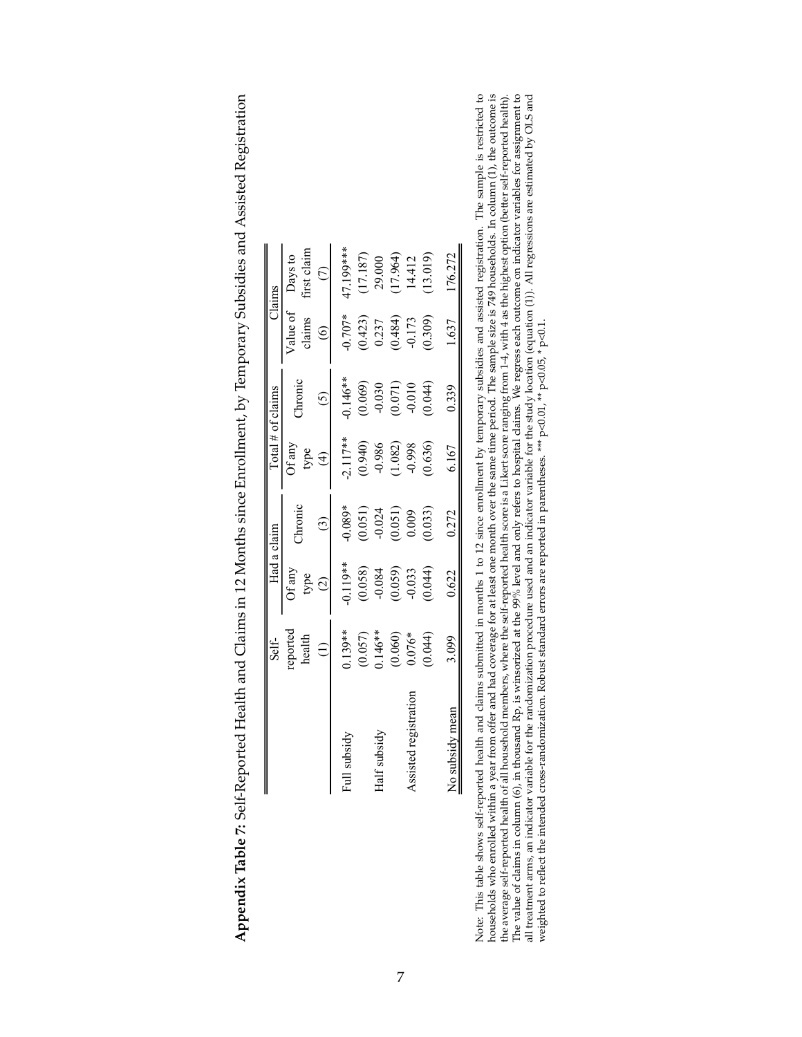|                       | Self-                                                       | Had a claim                                                   |                                               |                                                               | $\lceil$ otal # of claims                                                  |                                               | Claims                                           |
|-----------------------|-------------------------------------------------------------|---------------------------------------------------------------|-----------------------------------------------|---------------------------------------------------------------|----------------------------------------------------------------------------|-----------------------------------------------|--------------------------------------------------|
|                       | reported<br>health                                          | Of any<br>type                                                | hronic                                        | $\Im$ f any<br>type                                           | <b>hronic</b>                                                              | /alue of<br>claims                            | irst claim<br>Days to                            |
|                       |                                                             | $\bigcirc$                                                    |                                               | $\widehat{f}$                                                 |                                                                            | $\circledcirc$                                |                                                  |
| Full subsidy          |                                                             |                                                               | $0.089*$                                      |                                                               |                                                                            | $-0.707*$                                     | 17.199***                                        |
|                       |                                                             |                                                               |                                               |                                                               |                                                                            |                                               |                                                  |
| Half subsidy          |                                                             |                                                               |                                               |                                                               |                                                                            |                                               |                                                  |
|                       | $0.139**$<br>$(0.057)$<br>$146**$<br>$(0.060)$<br>$(0.060)$ | $^{*}$<br>(0.058)<br>(0.058)<br>(0.059)<br>(0.044)<br>(0.044) | $(0.051)$<br>$-0.024$<br>$(0.051)$<br>$0.009$ | $-2.117**$<br>$(0.940)$<br>$-0.986$<br>$(1.082)$<br>$(1.082)$ |                                                                            | $(0.423)$<br>$0.237$<br>$(0.484)$<br>$-0.173$ | $(17.187)$<br>29.000<br>$(17.964)$<br>$(17.964)$ |
| Assisted registration |                                                             |                                                               |                                               |                                                               |                                                                            |                                               |                                                  |
|                       | (0.044)                                                     |                                                               | 0.033)                                        | (0.636)                                                       | $0.146**$<br>$(0.069)$<br>$(0.030)$<br>$(0.071)$<br>$(0.010)$<br>$(0.044)$ | (0.309)                                       | (13.019)                                         |
| No subsidy mean       | 3.099                                                       | 0.622                                                         | 0.272                                         | 6.167                                                         | 0.339                                                                      | 1.637                                         | 176.272                                          |

Appendix Table 7: Self-Reported Health and Claims in 12 Months since Enrollment, by Temporary Subsidies and Assisted Registration **Appendix Table 7:** Self-Reported Health and Claims in 12 Months since Enrollment, by Temporary Subsidies and Assisted Registration

Note: This table shows self-reported health and claims submitted in months 1 to 12 since enrollment by temporary subsidies and assisted registration. The sample is restricted to households who enrolled within a year from o The value of claims in column (6), in thousand Rp, is winsorized at the 99% level and only refers to hospital claims. We regress each outcome on indicator variables for assignment to all treatment arms, an indicator varia Note: This table shows self-reported health and claims submitted in months 1 to 12 since enrollment by temporary subsidies and assisted registration. The sample is restricted to households who enrolled within a year from o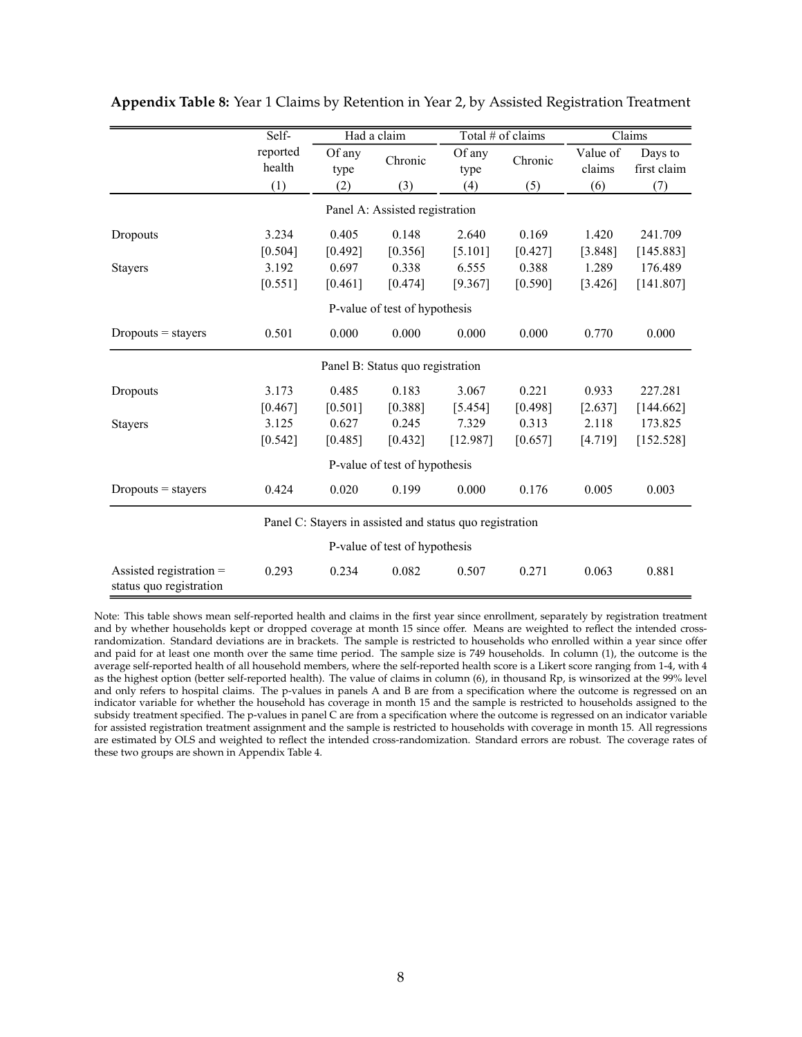|                                                      | Self-              |                | Had a claim                      | Total # of claims                                        |         |                    | Claims                 |
|------------------------------------------------------|--------------------|----------------|----------------------------------|----------------------------------------------------------|---------|--------------------|------------------------|
|                                                      | reported<br>health | Of any<br>type | Chronic                          | Of any<br>type                                           | Chronic | Value of<br>claims | Days to<br>first claim |
|                                                      | (1)                | (2)            | (3)                              | (4)                                                      | (5)     | (6)                | (7)                    |
|                                                      |                    |                | Panel A: Assisted registration   |                                                          |         |                    |                        |
| Dropouts                                             | 3.234              | 0.405          | 0.148                            | 2.640                                                    | 0.169   | 1.420              | 241.709                |
|                                                      | [0.504]            | [0.492]        | [0.356]                          | [5.101]                                                  | [0.427] | [3.848]            | [145.883]              |
| <b>Stayers</b>                                       | 3.192              | 0.697          | 0.338                            | 6.555                                                    | 0.388   | 1.289              | 176.489                |
|                                                      | [0.551]            | [0.461]        | [0.474]                          | [9.367]                                                  | [0.590] | [3.426]            | [141.807]              |
|                                                      |                    |                | P-value of test of hypothesis    |                                                          |         |                    |                        |
| $Dropouts = stays$                                   | 0.501              | 0.000          | 0.000                            | 0.000                                                    | 0.000   | 0.770              | 0.000                  |
|                                                      |                    |                | Panel B: Status quo registration |                                                          |         |                    |                        |
| Dropouts                                             | 3.173              | 0.485          | 0.183                            | 3.067                                                    | 0.221   | 0.933              | 227.281                |
|                                                      | [0.467]            | [0.501]        | [0.388]                          | [5.454]                                                  | [0.498] | [2.637]            | [144.662]              |
| <b>Stayers</b>                                       | 3.125              | 0.627          | 0.245                            | 7.329                                                    | 0.313   | 2.118              | 173.825                |
|                                                      | [0.542]            | [0.485]        | [0.432]                          | [12.987]                                                 | [0.657] | [4.719]            | [152.528]              |
|                                                      |                    |                | P-value of test of hypothesis    |                                                          |         |                    |                        |
| $Dropouts = stays$                                   | 0.424              | 0.020          | 0.199                            | 0.000                                                    | 0.176   | 0.005              | 0.003                  |
|                                                      |                    |                |                                  | Panel C: Stayers in assisted and status quo registration |         |                    |                        |
|                                                      |                    |                | P-value of test of hypothesis    |                                                          |         |                    |                        |
| Assisted registration $=$<br>status quo registration | 0.293              | 0.234          | 0.082                            | 0.507                                                    | 0.271   | 0.063              | 0.881                  |

**Appendix Table 8:** Year 1 Claims by Retention in Year 2, by Assisted Registration Treatment

Note: This table shows mean self-reported health and claims in the first year since enrollment, separately by registration treatment and by whether households kept or dropped coverage at month 15 since offer. Means are weighted to reflect the intended crossrandomization. Standard deviations are in brackets. The sample is restricted to households who enrolled within a year since offer and paid for at least one month over the same time period. The sample size is 749 households. In column (1), the outcome is the average self-reported health of all household members, where the self-reported health score is a Likert score ranging from 1-4, with 4 as the highest option (better self-reported health). The value of claims in column (6), in thousand Rp, is winsorized at the 99% level and only refers to hospital claims. The p-values in panels A and B are from a specification where the outcome is regressed on an indicator variable for whether the household has coverage in month 15 and the sample is restricted to households assigned to the subsidy treatment specified. The p-values in panel C are from a specification where the outcome is regressed on an indicator variable for assisted registration treatment assignment and the sample is restricted to households with coverage in month 15. All regressions are estimated by OLS and weighted to reflect the intended cross-randomization. Standard errors are robust. The coverage rates of these two groups are shown in Appendix Table 4.